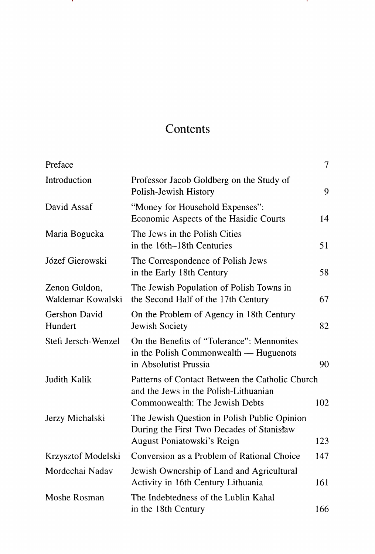# Contents

| Preface                            |                                                                                                                            | $\tau$ |
|------------------------------------|----------------------------------------------------------------------------------------------------------------------------|--------|
| Introduction                       | Professor Jacob Goldberg on the Study of<br>Polish-Jewish History                                                          | 9      |
| David Assaf                        | "Money for Household Expenses":<br>Economic Aspects of the Hasidic Courts                                                  | 14     |
| Maria Bogucka                      | The Jews in the Polish Cities<br>in the 16th–18th Centuries                                                                | 51     |
| Józef Gierowski                    | The Correspondence of Polish Jews<br>in the Early 18th Century                                                             | 58     |
| Zenon Guldon,<br>Waldemar Kowalski | The Jewish Population of Polish Towns in<br>the Second Half of the 17th Century                                            | 67     |
| Gershon David<br>Hundert           | On the Problem of Agency in 18th Century<br>Jewish Society                                                                 | 82     |
| Stefi Jersch-Wenzel                | On the Benefits of "Tolerance": Mennonites<br>in the Polish Commonwealth — Huguenots<br>in Absolutist Prussia              | 90     |
| Judith Kalik                       | Patterns of Contact Between the Catholic Church<br>and the Jews in the Polish-Lithuanian<br>Commonwealth: The Jewish Debts | 102    |
| Jerzy Michalski                    | The Jewish Question in Polish Public Opinion<br>During the First Two Decades of Stanisław<br>August Poniatowski's Reign    | 123    |
| Krzysztof Modelski                 | Conversion as a Problem of Rational Choice                                                                                 | 147    |
| Mordechai Nadav                    | Jewish Ownership of Land and Agricultural<br>Activity in 16th Century Lithuania                                            | 161    |
| Moshe Rosman                       | The Indebtedness of the Lublin Kahal<br>in the 18th Century                                                                | 166    |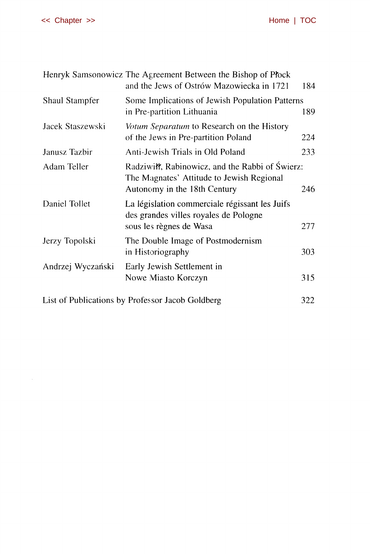|                                                  | Henryk Samsonowicz The Agreement Between the Bishop of Plock<br>and the Jews of Ostrów Mazowiecka in 1721                    | 184 |
|--------------------------------------------------|------------------------------------------------------------------------------------------------------------------------------|-----|
| Shaul Stampfer                                   | Some Implications of Jewish Population Patterns<br>in Pre-partition Lithuania                                                | 189 |
| Jacek Staszewski                                 | Votum Separatum to Research on the History<br>of the Jews in Pre-partition Poland                                            | 224 |
| Janusz Tazbir                                    | Anti-Jewish Trials in Old Poland                                                                                             | 233 |
| Adam Teller                                      | Radziwiłł, Rabinowicz, and the Rabbi of Świerz:<br>The Magnates' Attitude to Jewish Regional<br>Autonomy in the 18th Century | 246 |
| Daniel Tollet                                    | La législation commerciale régissant les Juifs<br>des grandes villes royales de Pologne<br>sous les règnes de Wasa           | 277 |
| Jerzy Topolski                                   | The Double Image of Postmodernism<br>in Historiography                                                                       | 303 |
| Andrzej Wyczański                                | Early Jewish Settlement in<br>Nowe Miasto Korczyn                                                                            | 315 |
| List of Publications by Professor Jacob Goldberg |                                                                                                                              |     |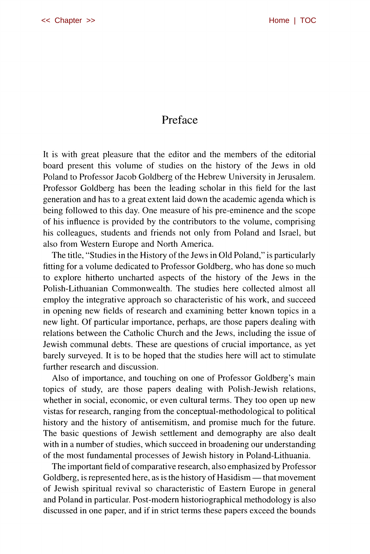### Preface

It is with great pleasure that the editor and the members of the editorial board present this volume of studies on the history of the Jews in old Poland to Professor Jacob Goldberg of the Hebrew University in Jerusalem. Professor Goldberg has been the leading scholar in this field for the last generation and has to a great extent laid down the academic agenda which is being followed to this day. One measure of his pre-eminence and the scope of his influence is provided by the contributors to the volume, comprising his colleagues, students and friends not only from Poland and Israel, but also from Western Europe and North America.

The title, "Studies in the History of the Jews in Old Poland," is particularly fitting for a volume dedicated to Professor Goldberg, who has done so much to explore hitherto uncharted aspects of the history of the Jews in the Polish-Lithuanian Commonwealth. The studies here collected almost all employ the integrative approach so characteristic of his work, and succeed in opening new fields of research and examining better known topics in a new light. Of particular importance, perhaps, are those papers dealing with relations between the Catholic Church and the Jews, including the issue of Jewish communal debts. These are questions of crucial importance, as yet barely surveyed. It is to be hoped that the studies here will act to stimulate further research and discussion.

Also of importance, and touching on one of Professor Goldberg's main topics of study, are those papers dealing with Polish-Jewish relations, whether in social, economic, or even cultural terms. They too open up new vistas for research, ranging from the conceptual-methodological to political history and the history of antisemitism, and promise much for the future. The basic questions of Jewish settlement and demography are also dealt with in a number of studies, which succeed in broadening our understanding of the most fundamental processes of Jewish history in Poland-Lithuania.

The important field of comparative research, also emphasized by Professor Goldberg, is represented here, as is the history of Hasidism — that movement of Jewish spiritual revival so characteristic of Eastern Europe in general and Poland in particular. Post-modern historiographical methodology is also discussed in one paper, and if in strict terms these papers exceed the bounds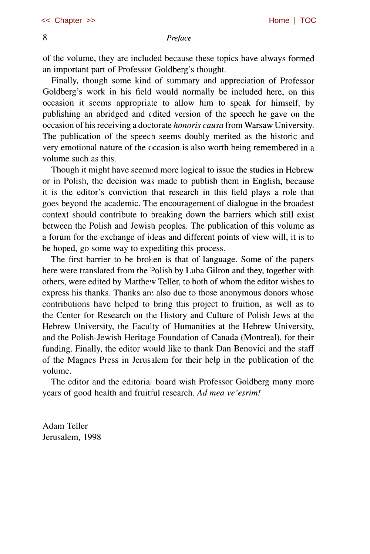### 8 *Preface*

of the volume, they are included because these topics have always formed an important part of Professor Goldberg's thought.

Finally, though some kind of summary and appreciation of Professor Goldberg's work in his field would normally be included here, on this occasion it seems appropriate to allow him to speak for himself, by publishing an abridged and edited version of the speech he gave on the occasion of his receiving a doctorate *honoris causa* from Warsaw University. The publication of the speech seems doubly merited as the historic and very emotional nature of the occasion is also worth being remembered in a volume such as this.

Though it might have seemed more logical to issue the studies in Hebrew or in Polish, the decision was made to publish them in English, because it is the editor's conviction that research in this field plays a role that goes beyond the academic. The encouragement of dialogue in the broadest context should contribute to breaking down the barriers which still exist between the Polish and Jewish peoples. The publication of this volume as a forum for the exchange of ideas and different points of view will, it is to be hoped, go some way to expediting this process.

The first barrier to be broken is that of language. Some of the papers here were translated from the Polish by Luba Gilron and they, together with others, were edited by Matthew Teller, to both of whom the editor wishes to express his thanks. Thanks are also due to those anonymous donors whose contributions have helped to bring this project to fruition, as well as to the Center for Research on the History and Culture of Polish Jews at the Hebrew University, the Faculty of Humanities at the Hebrew University, and the Polish-Jewish Heritage Foundation of Canada (Montreal), for their funding. Finally, the editor would like to thank Dan Benovici and the staff of the Magnes Press in Jerusalem for their help in the publication of the volume.

The editor and the editorial board wish Professor Goldberg many more years of good health and fruitful research. *Ad mea ve'esrim!* 

Adam Teller Jerusalem, 1998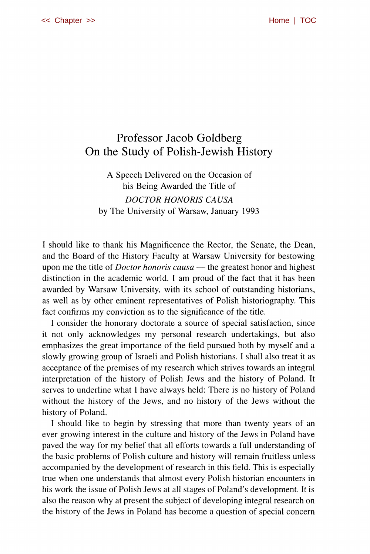## Professor Jacob Goldberg On the Study of Polish-Jewish History

A Speech Delivered on the Occasion of his Being Awarded the Title of *DOCTOR HONORIS CAUSA*  by The University of Warsaw, January 1993

I should like to thank his Magnificence the Rector, the Senate, the Dean, and the Board of the History Faculty at Warsaw University for bestowing upon me the title of *Doctor honoris causa* — the greatest honor and highest distinction in the academic world. I am proud of the fact that it has been awarded by Warsaw University, with its school of outstanding historians, as well as by other eminent representatives of Polish historiography. This fact confirms my conviction as to the significance of the title.

I consider the honorary doctorate a source of special satisfaction, since it not only acknowledges my personal research undertakings, but also emphasizes the great importance of the field pursued both by myself and a slowly growing group of Israeli and Polish historians. I shall also treat it as acceptance of the premises of my research which strives towards an integral interpretation of the history of Polish Jews and the history of Poland. It serves to underline what I have always held: There is no history of Poland without the history of the Jews, and no history of the Jews without the history of Poland.

I should like to begin by stressing that more than twenty years of an ever growing interest in the culture and history of the Jews in Poland have paved the way for my belief that all efforts towards a full understanding of the basic problems of Polish culture and history will remain fruitless unless accompanied by the development of research in this field. This is especially true when one understands that almost every Polish historian encounters in his work the issue of Polish Jews at all stages of Poland's development. It is also the reason why at present the subject of developing integral research on the history of the Jews in Poland has become a question of special concern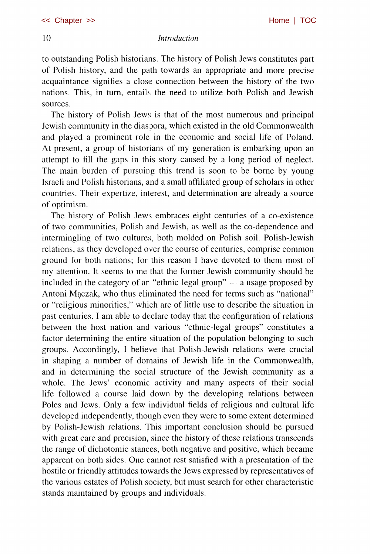#### 10 *Introduction*

to outstanding Polish historians. The history of Polish Jews constitutes part of Polish history, and the path towards an appropriate and more precise acquaintance signifies a close connection between the history of the two nations. This, in turn, entails the need to utilize both Polish and Jewish sources.

The history of Polish Jews is that of the most numerous and principal Jewish community in the diaspora, which existed in the old Commonwealth and played a prominent role in the economic and social life of Poland. At present, a group of historians of my generation is embarking upon an attempt to fill the gaps in this story caused by a long period of neglect. The main burden of pursuing this trend is soon to be borne by young Israeli and Polish historians, and a small affiliated group of scholars in other countries. Their expertize, interest, and determination are already a source of optimism.

The history of Polish Jews embraces eight centuries of a co-existence of two communities, Polish and Jewish, as well as the co-dependence and intermingling of two cultures, both molded on Polish soil. Polish-Jewish relations, as they developed over the course of centuries, comprise common ground for both nations; for this reason I have devoted to them most of my attention. It seems to me that the former Jewish community should be included in the category of an "ethnic-legal group" — a usage proposed by Antoni Mgczak, who thus eliminated the need for terms such as "national" or "religious minorities," which are of little use to describe the situation in past centuries. I am able to declare today that the configuration of relations between the host nation and various "ethnic-legal groups" constitutes a factor determining the entire situation of the population belonging to such groups. Accordingly, I believe that Polish-Jewish relations were crucial in shaping a number of domains of Jewish life in the Commonwealth, and in determining the social structure of the Jewish community as a whole. The Jews' economic activity and many aspects of their social life followed a course laid down by the developing relations between Poles and Jews. Only a few individual fields of religious and cultural life developed independently, though even they were to some extent determined by Polish-Jewish relations. This important conclusion should be pursued with great care and precision, since the history of these relations transcends the range of dichotomic stances, both negative and positive, which became apparent on both sides. One cannot rest satisfied with a presentation of the hostile or friendly attitudes towards the Jews expressed by representatives of the various estates of Polish society, but must search for other characteristic stands maintained by groups and individuals.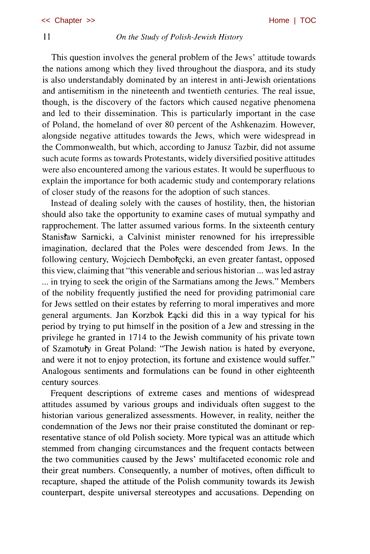### 11 *On the Study of Polish-Jewish History*

This question involves the general problem of the Jews' attitude towards the nations among which they lived throughout the diaspora, and its study is also understandably dominated by an interest in anti-Jewish orientations and antisemitism in the nineteenth and twentieth centuries. The real issue, though, is the discovery of the factors which caused negative phenomena and led to their dissemination. This is particularly important in the case of Poland, the homeland of over 80 percent of the Ashkenazim. However, alongside negative attitudes towards the Jews, which were widespread in the Commonwealth, but which, according to Janusz Tazbir, did not assume such acute forms as towards Protestants, widely diversified positive attitudes were also encountered among the various estates. It would be superfluous to explain the importance for both academic study and contemporary relations of closer study of the reasons for the adoption of such stances.

Instead of dealing solely with the causes of hostility, then, the historian should also take the opportunity to examine cases of mutual sympathy and rapprochement. The latter assumed various forms. In the sixteenth century Stanisfaw Sarnicki, a Calvinist minister renowned for his irrepressible imagination, declared that the Poles were descended from Jews. In the following century, Wojciech Dembołęcki, an even greater fantast, opposed this view, claiming that "this venerable and serious historian ... was led astray ... in trying to seek the origin of the Sarmatians among the Jews." Members of the nobility frequently justified the need for providing patrimonial care for Jews settled on their estates by referring to moral imperatives and more general arguments. Jan Korzbok Łącki did this in a way typical for his period by trying to put himself in the position of a Jew and stressing in the privilege he granted in 1714 to the Jewish community of his private town of Szamotufy in Great Poland: "The Jewish nation is hated by everyone, and were it not to enjoy protection, its fortune and existence would suffer." Analogous sentiments and formulations can be found in other eighteenth century sources.

Frequent descriptions of extreme cases and mentions of widespread attitudes assumed by various groups and individuals often suggest to the historian various generalized assessments. However, in reality, neither the condemnation of the Jews nor their praise constituted the dominant or representative stance of old Polish society. More typical was an attitude which stemmed from changing circumstances and the frequent contacts between the two communities caused by the Jews' multifaceted economic role and their great numbers. Consequently, a number of motives, often difficult to recapture, shaped the attitude of the Polish community towards its Jewish counterpart, despite universal stereotypes and accusations. Depending on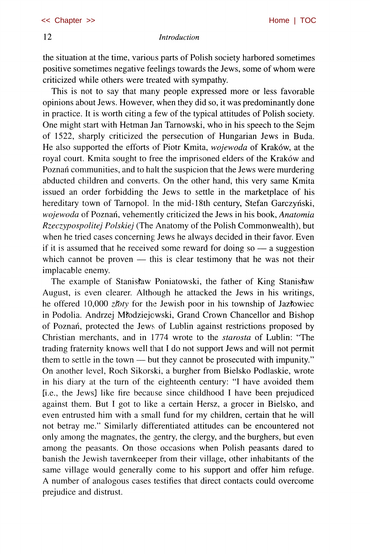the situation at the time, various parts of Polish society harbored sometimes positive sometimes negative feelings towards the Jews, some of whom were criticized while others were treated with sympathy.

This is not to say that many people expressed more or less favorable opinions about Jews. However, when they did so, it was predominantly done in practice. It is worth citing a few of the typical attitudes of Polish society. One might start with Hetman Jan Tarnowski, who in his speech to the Sejm of 1522, sharply criticized the persecution of Hungarian Jews in Buda. He also supported the efforts of Piotr Kmita, *wojewoda* of Kraków, at the royal court. Kmita sought to free the imprisoned elders of the Kraków and Poznan communities, and to halt the suspicion that the Jews were murdering abducted children and converts. On the other hand, this very same Kmita issued an order forbidding the Jews to settle in the marketplace of his hereditary town of Tarnopol. In the mid-18th century, Stefan Garczyński, *wojewoda* of Poznaii, vehemently criticized the Jews in his book, *Anatomia Rzeczypospolitej Polskiej* (The Anatomy of the Polish Commonwealth), but when he tried cases concerning Jews he always decided in their favor. Even if it is assumed that he received some reward for doing so — a suggestion which cannot be proven — this is clear testimony that he was not their implacable enemy.

The example of Stanisław Poniatowski, the father of King Stanisław August, is even clearer. Although he attacked the Jews in his writings, he offered 10,000 *zfoty* for the Jewish poor in his township of Jaztowiec in Podolia. Andrzej Mtodziejowski, Grand Crown Chancellor and Bishop of Poznan, protected the Jews of Lublin against restrictions proposed by Christian merchants, and in 1774 wrote to the *starosta* of Lublin: "The trading fraternity knows well that I do not support Jews and will not permit them to settle in the town — but they cannot be prosecuted with impunity." On another level, Roch Sikorski, a burgher from Bielsko Podlaskie, wrote in his diary at the turn of the eighteenth century: "I have avoided them [i.e., the Jews] like fire because since childhood I have been prejudiced against them. But I got to like a certain Hersz, a grocer in Bielsko, and even entrusted him with a small fund for my children, certain that he will not betray me." Similarly differentiated attitudes can be encountered not only among the magnates, the gentry, the clergy, and the burghers, but even among the peasants. On those occasions when Polish peasants dared to banish the Jewish tavernkeeper from their village, other inhabitants of the same village would generally come to his support and offer him refuge. A number of analogous cases testifies that direct contacts could overcome prejudice and distrust.